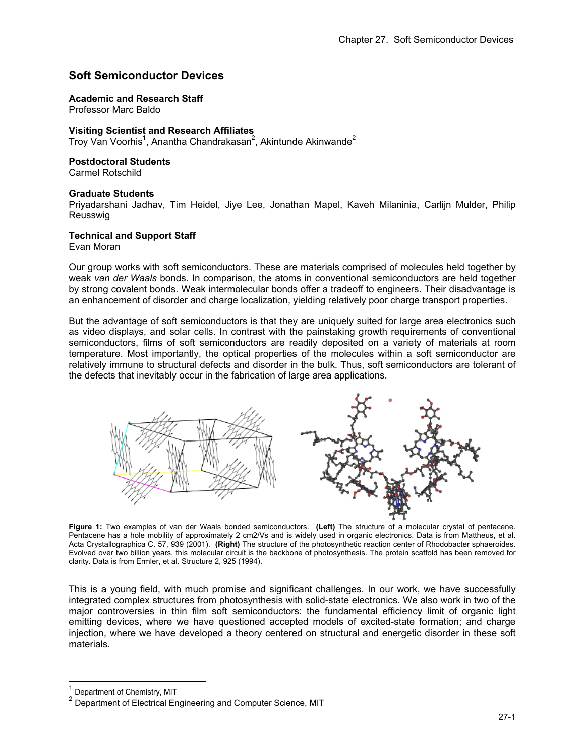# **Soft Semiconductor Devices**

**Academic and Research Staff** 

Professor Marc Baldo

### **Visiting Scientist and Research Affiliates**

Troy Van Voorhis<sup>1</sup>, Anantha Chandrakasan<sup>2</sup>, Akintunde Akinwande<sup>2</sup>

#### **Postdoctoral Students**

Carmel Rotschild

#### **Graduate Students**

Priyadarshani Jadhav, Tim Heidel, Jiye Lee, Jonathan Mapel, Kaveh Milaninia, Carlijn Mulder, Philip Reusswig

### **Technical and Support Staff**

Evan Moran

Our group works with soft semiconductors. These are materials comprised of molecules held together by weak *van der Waals* bonds. In comparison, the atoms in conventional semiconductors are held together by strong covalent bonds. Weak intermolecular bonds offer a tradeoff to engineers. Their disadvantage is an enhancement of disorder and charge localization, yielding relatively poor charge transport properties.

But the advantage of soft semiconductors is that they are uniquely suited for large area electronics such as video displays, and solar cells. In contrast with the painstaking growth requirements of conventional semiconductors, films of soft semiconductors are readily deposited on a variety of materials at room temperature. Most importantly, the optical properties of the molecules within a soft semiconductor are relatively immune to structural defects and disorder in the bulk. Thus, soft semiconductors are tolerant of the defects that inevitably occur in the fabrication of large area applications.



**Figure 1:** Two examples of van der Waals bonded semiconductors. **(Left)** The structure of a molecular crystal of pentacene. Pentacene has a hole mobility of approximately 2 cm2/Vs and is widely used in organic electronics. Data is from Mattheus, et al. Acta Crystallographica C. 57, 939 (2001). **(Right)** The structure of the photosynthetic reaction center of Rhodobacter sphaeroides. Evolved over two billion years, this molecular circuit is the backbone of photosynthesis. The protein scaffold has been removed for clarity. Data is from Ermler, et al. Structure 2, 925 (1994).

This is a young field, with much promise and significant challenges. In our work, we have successfully integrated complex structures from photosynthesis with solid-state electronics. We also work in two of the major controversies in thin film soft semiconductors: the fundamental efficiency limit of organic light emitting devices, where we have questioned accepted models of excited-state formation; and charge injection, where we have developed a theory centered on structural and energetic disorder in these soft materials.

Department of Chemistry, MIT

l

<sup>2</sup> Department of Electrical Engineering and Computer Science, MIT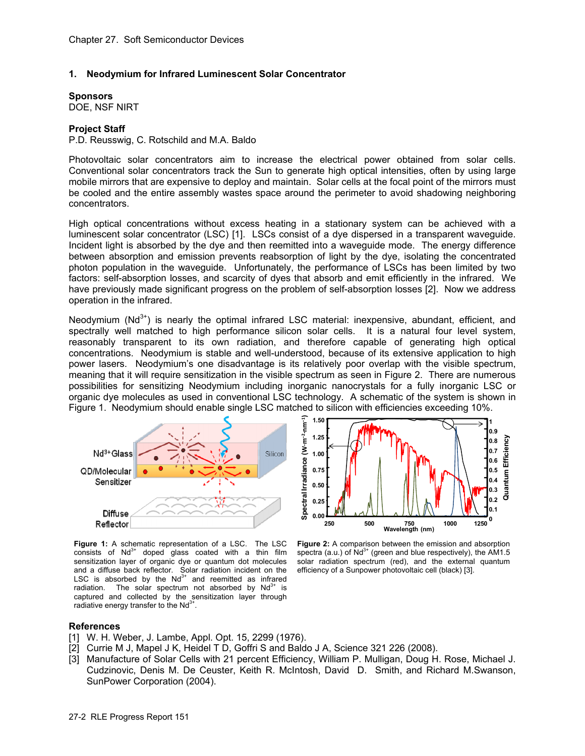### **1. Neodymium for Infrared Luminescent Solar Concentrator**

**Sponsors**  DOE, NSF NIRT

### **Project Staff**

P.D. Reusswig, C. Rotschild and M.A. Baldo

Photovoltaic solar concentrators aim to increase the electrical power obtained from solar cells. Conventional solar concentrators track the Sun to generate high optical intensities, often by using large mobile mirrors that are expensive to deploy and maintain. Solar cells at the focal point of the mirrors must be cooled and the entire assembly wastes space around the perimeter to avoid shadowing neighboring concentrators.

High optical concentrations without excess heating in a stationary system can be achieved with a luminescent solar concentrator (LSC) [1]. LSCs consist of a dye dispersed in a transparent waveguide. Incident light is absorbed by the dye and then reemitted into a waveguide mode. The energy difference between absorption and emission prevents reabsorption of light by the dye, isolating the concentrated photon population in the waveguide. Unfortunately, the performance of LSCs has been limited by two factors: self-absorption losses, and scarcity of dyes that absorb and emit efficiently in the infrared. We have previously made significant progress on the problem of self-absorption losses [2]. Now we address operation in the infrared.

Neodymium  $(Nd^{3+})$  is nearly the optimal infrared LSC material: inexpensive, abundant, efficient, and spectrally well matched to high performance silicon solar cells. It is a natural four level system, reasonably transparent to its own radiation, and therefore capable of generating high optical concentrations. Neodymium is stable and well-understood, because of its extensive application to high power lasers. Neodymium's one disadvantage is its relatively poor overlap with the visible spectrum, meaning that it will require sensitization in the visible spectrum as seen in Figure 2. There are numerous possibilities for sensitizing Neodymium including inorganic nanocrystals for a fully inorganic LSC or organic dye molecules as used in conventional LSC technology. A schematic of the system is shown in Figure 1. Neodymium should enable single LSC matched to silicon with efficiencies exceeding 10%.



Figure 1: A schematic representation of a LSC. The LSC consists of  $Nd^{3+}$  doped glass coated with a thin film sensitization layer of organic dye or quantum dot molecules and a diffuse back reflector. Solar radiation incident on the LSC is absorbed by the  $Nd^{3+}$  and reemitted as infrared radiation. The solar spectrum not absorbed by  $Nd^{3+}$  is captured and collected by the sensitization layer through radiative energy transfer to the  $Nd^{3+}$ .



**Figure 2:** A comparison between the emission and absorption spectra  $(a.u.)$  of  $Nd<sup>3+</sup>$  (green and blue respectively), the AM1.5 solar radiation spectrum (red), and the external quantum efficiency of a Sunpower photovoltaic cell (black) [3].

# **References**

- [1] W. H. Weber, J. Lambe, Appl. Opt. 15, 2299 (1976).
- [2] Currie M J, Mapel J K, Heidel T D, Goffri S and Baldo J A, Science 321 226 (2008).
- [3] Manufacture of Solar Cells with 21 percent Efficiency, William P. Mulligan, Doug H. Rose, Michael J. Cudzinovic, Denis M. De Ceuster, Keith R. McIntosh, David D. Smith, and Richard M.Swanson, SunPower Corporation (2004).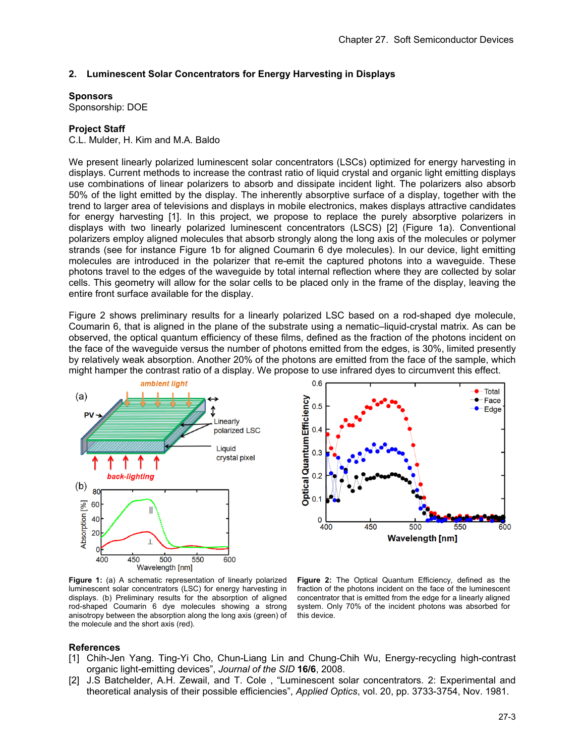# **2. Luminescent Solar Concentrators for Energy Harvesting in Displays**

#### **Sponsors**

Sponsorship: DOE

### **Project Staff**

C.L. Mulder, H. Kim and M.A. Baldo

We present linearly polarized luminescent solar concentrators (LSCs) optimized for energy harvesting in displays. Current methods to increase the contrast ratio of liquid crystal and organic light emitting displays use combinations of linear polarizers to absorb and dissipate incident light. The polarizers also absorb 50% of the light emitted by the display. The inherently absorptive surface of a display, together with the trend to larger area of televisions and displays in mobile electronics, makes displays attractive candidates for energy harvesting [1]. In this project, we propose to replace the purely absorptive polarizers in displays with two linearly polarized luminescent concentrators (LSCS) [2] (Figure 1a). Conventional polarizers employ aligned molecules that absorb strongly along the long axis of the molecules or polymer strands (see for instance Figure 1b for aligned Coumarin 6 dye molecules). In our device, light emitting molecules are introduced in the polarizer that re-emit the captured photons into a waveguide. These photons travel to the edges of the waveguide by total internal reflection where they are collected by solar cells. This geometry will allow for the solar cells to be placed only in the frame of the display, leaving the entire front surface available for the display.

Figure 2 shows preliminary results for a linearly polarized LSC based on a rod-shaped dye molecule, Coumarin 6, that is aligned in the plane of the substrate using a nematic–liquid-crystal matrix. As can be observed, the optical quantum efficiency of these films, defined as the fraction of the photons incident on the face of the waveguide versus the number of photons emitted from the edges, is 30%, limited presently by relatively weak absorption. Another 20% of the photons are emitted from the face of the sample, which might hamper the contrast ratio of a display. We propose to use infrared dyes to circumvent this effect.

 $0.6$ 

 $0.5$ 

 $0.4$ 

 $0.3$ 

 $0.2$ 

 $0.1$ 



Optical Quantum Efficiency 0 450 500 550 400 **Wavelength [nm] Figure 2:** The Optical Quantum Efficiency, defined as the

Figure 1: (a) A schematic representation of linearly polarized luminescent solar concentrators (LSC) for energy harvesting in displays. (b) Preliminary results for the absorption of aligned rod-shaped Coumarin 6 dye molecules showing a strong anisotropy between the absorption along the long axis (green) of the molecule and the short axis (red).

fraction of the photons incident on the face of the luminescent concentrator that is emitted from the edge for a linearly aligned system. Only 70% of the incident photons was absorbed for this device.

#### **References**

- [1] Chih-Jen Yang. Ting-Yi Cho, Chun-Liang Lin and Chung-Chih Wu, Energy-recycling high-contrast organic light-emitting devices", *Journal of the SID* **16/6**, 2008.
- [2] J.S Batchelder, A.H. Zewail, and T. Cole , "Luminescent solar concentrators. 2: Experimental and theoretical analysis of their possible efficiencies", *Applied Optics*, vol. 20, pp. 3733-3754, Nov. 1981.

Total

Edge

600

 $\bullet$  Face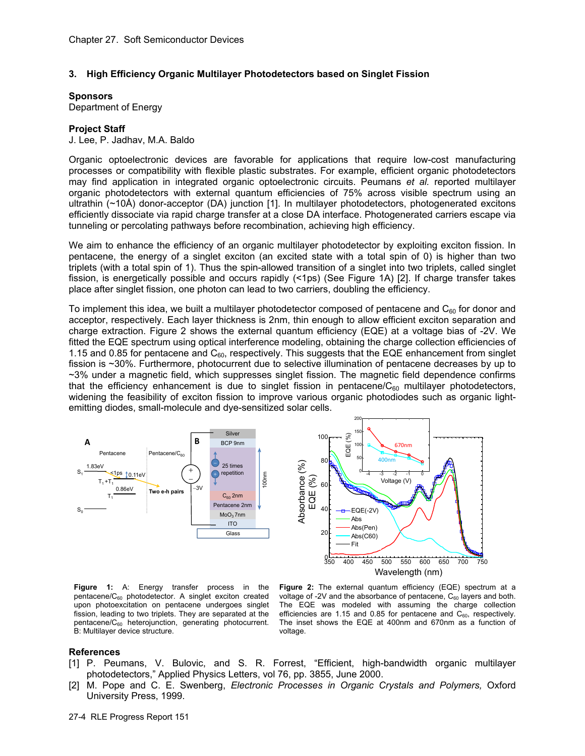## **3. High Efficiency Organic Multilayer Photodetectors based on Singlet Fission**

#### **Sponsors**

Department of Energy

### **Project Staff**

J. Lee, P. Jadhav, M.A. Baldo

Organic optoelectronic devices are favorable for applications that require low-cost manufacturing processes or compatibility with flexible plastic substrates. For example, efficient organic photodetectors may find application in integrated organic optoelectronic circuits. Peumans *et al.* reported multilayer organic photodetectors with external quantum efficiencies of 75% across visible spectrum using an ultrathin (~10Å) donor-acceptor (DA) junction [1]. In multilayer photodetectors, photogenerated excitons efficiently dissociate via rapid charge transfer at a close DA interface. Photogenerated carriers escape via tunneling or percolating pathways before recombination, achieving high efficiency.

We aim to enhance the efficiency of an organic multilayer photodetector by exploiting exciton fission. In pentacene, the energy of a singlet exciton (an excited state with a total spin of 0) is higher than two triplets (with a total spin of 1). Thus the spin-allowed transition of a singlet into two triplets, called singlet fission, is energetically possible and occurs rapidly (<1ps) (See Figure 1A) [2]. If charge transfer takes place after singlet fission, one photon can lead to two carriers, doubling the efficiency.

To implement this idea, we built a multilayer photodetector composed of pentacene and  $C_{60}$  for donor and acceptor, respectively. Each layer thickness is 2nm, thin enough to allow efficient exciton separation and charge extraction. Figure 2 shows the external quantum efficiency (EQE) at a voltage bias of -2V. We fitted the EQE spectrum using optical interference modeling, obtaining the charge collection efficiencies of 1.15 and 0.85 for pentacene and C<sub>60</sub>, respectively. This suggests that the EQE enhancement from singlet fission is ~30%. Furthermore, photocurrent due to selective illumination of pentacene decreases by up to ~3% under a magnetic field, which suppresses singlet fission. The magnetic field dependence confirms that the efficiency enhancement is due to singlet fission in pentacene/ $C_{60}$  multilayer photodetectors, widening the feasibility of exciton fission to improve various organic photodiodes such as organic lightemitting diodes, small-molecule and dye-sensitized solar cells.



**Figure 1:** A: Energy transfer process in the pentacene/ $C_{60}$  photodetector. A singlet exciton created upon photoexcitation on pentacene undergoes singlet fission, leading to two triplets. They are separated at the pentacene/C60 heterojunction, generating photocurrent. B: Multilayer device structure.



#### **References**

- [1] P. Peumans, V. Bulovic, and S. R. Forrest, "Efficient, high-bandwidth organic multilayer photodetectors," Applied Physics Letters, vol 76, pp. 3855, June 2000.
- [2] M. Pope and C. E. Swenberg, *Electronic Processes in Organic Crystals and Polymers,* Oxford University Press, 1999.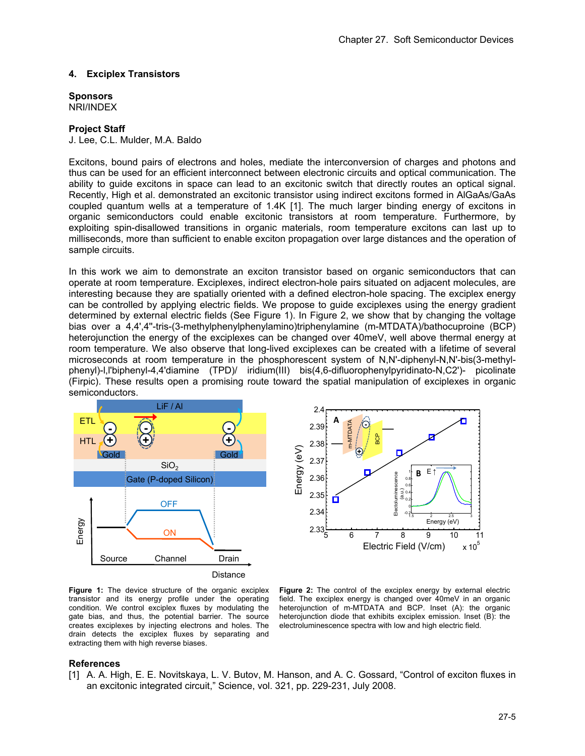### **4. Exciplex Transistors**

#### **Sponsors**  NRI/INDEX

## **Project Staff**

J. Lee, C.L. Mulder, M.A. Baldo

Excitons, bound pairs of electrons and holes, mediate the interconversion of charges and photons and thus can be used for an efficient interconnect between electronic circuits and optical communication. The ability to guide excitons in space can lead to an excitonic switch that directly routes an optical signal. Recently, High et al. demonstrated an excitonic transistor using indirect excitons formed in AlGaAs/GaAs coupled quantum wells at a temperature of 1.4K [1]. The much larger binding energy of excitons in organic semiconductors could enable excitonic transistors at room temperature. Furthermore, by exploiting spin-disallowed transitions in organic materials, room temperature excitons can last up to milliseconds, more than sufficient to enable exciton propagation over large distances and the operation of sample circuits.

In this work we aim to demonstrate an exciton transistor based on organic semiconductors that can operate at room temperature. Exciplexes, indirect electron-hole pairs situated on adjacent molecules, are interesting because they are spatially oriented with a defined electron-hole spacing. The exciplex energy can be controlled by applying electric fields. We propose to guide exciplexes using the energy gradient determined by external electric fields (See Figure 1). In Figure 2, we show that by changing the voltage bias over a 4,4',4''-tris-(3-methylphenylphenylamino)triphenylamine (m-MTDATA)/bathocuproine (BCP) heterojunction the energy of the exciplexes can be changed over 40meV, well above thermal energy at room temperature. We also observe that long-lived exciplexes can be created with a lifetime of several microseconds at room temperature in the phosphorescent system of N,N'-diphenyl-N,N'-bis(3-methylphenyl)-l,l'biphenyl-4,4'diamine (TPD)/ iridium(III) bis(4,6-difluorophenylpyridinato-N,C2')- picolinate (Firpic). These results open a promising route toward the spatial manipulation of exciplexes in organic semiconductors.





**Figure 1:** The device structure of the organic exciplex transistor and its energy profile under the operating condition. We control exciplex fluxes by modulating the gate bias, and thus, the potential barrier. The source creates exciplexes by injecting electrons and holes. The drain detects the exciplex fluxes by separating and extracting them with high reverse biases.

Figure 2: The control of the exciplex energy by external electric field. The exciplex energy is changed over 40meV in an organic heterojunction of m-MTDATA and BCP. Inset (A): the organic heterojunction diode that exhibits exciplex emission. Inset (B): the electroluminescence spectra with low and high electric field.

#### **References**

[1] A. A. High, E. E. Novitskaya, L. V. Butov, M. Hanson, and A. C. Gossard, "Control of exciton fluxes in an excitonic integrated circuit," Science, vol. 321, pp. 229-231, July 2008.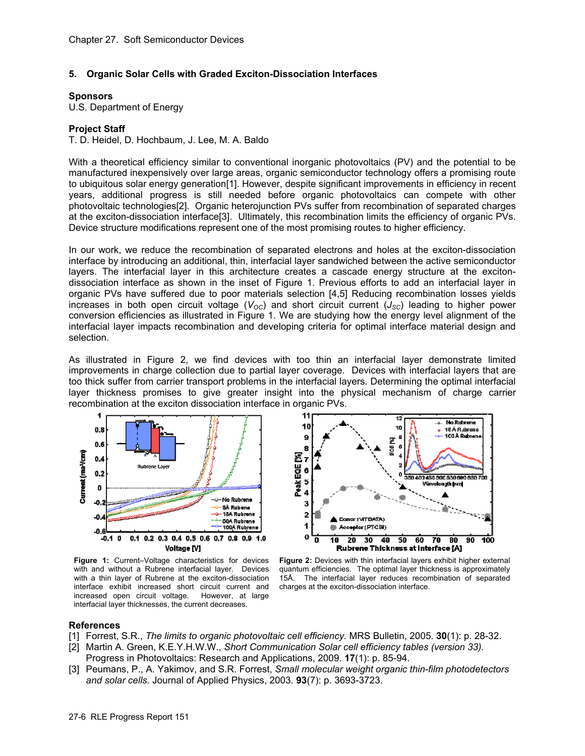# **5. Organic Solar Cells with Graded Exciton-Dissociation Interfaces**

#### **Sponsors**

U.S. Department of Energy

# **Project Staff**

T. D. Heidel, D. Hochbaum, J. Lee, M. A. Baldo

With a theoretical efficiency similar to conventional inorganic photovoltaics (PV) and the potential to be manufactured inexpensively over large areas, organic semiconductor technology offers a promising route to ubiquitous solar energy generation[1]. However, despite significant improvements in efficiency in recent years, additional progress is still needed before organic photovoltaics can compete with other photovoltaic technologies[2]. Organic heterojunction PVs suffer from recombination of separated charges at the exciton-dissociation interface[3]. Ultimately, this recombination limits the efficiency of organic PVs. Device structure modifications represent one of the most promising routes to higher efficiency.

In our work, we reduce the recombination of separated electrons and holes at the exciton-dissociation interface by introducing an additional, thin, interfacial layer sandwiched between the active semiconductor layers. The interfacial layer in this architecture creates a cascade energy structure at the excitondissociation interface as shown in the inset of Figure 1. Previous efforts to add an interfacial layer in organic PVs have suffered due to poor materials selection [4,5] Reducing recombination losses yields increases in both open circuit voltage ( $V_{OC}$ ) and short circuit current ( $J_{SC}$ ) leading to higher power conversion efficiencies as illustrated in Figure 1. We are studying how the energy level alignment of the interfacial layer impacts recombination and developing criteria for optimal interface material design and selection.

As illustrated in Figure 2, we find devices with too thin an interfacial layer demonstrate limited improvements in charge collection due to partial layer coverage. Devices with interfacial layers that are too thick suffer from carrier transport problems in the interfacial layers. Determining the optimal interfacial layer thickness promises to give greater insight into the physical mechanism of charge carrier recombination at the exciton dissociation interface in organic PVs.



**Figure 1:** Current–Voltage characteristics for devices with and without a Rubrene interfacial layer. Devices with a thin layer of Rubrene at the exciton-dissociation interface exhibit increased short circuit current and increased open circuit voltage. However, at large interfacial layer thicknesses, the current decreases.



**Figure 2:** Devices with thin interfacial layers exhibit higher external quantum efficiencies. The optimal layer thickness is approximately 15Å. The interfacial layer reduces recombination of separated charges at the exciton-dissociation interface.

# **References**

- [1] Forrest, S.R., *The limits to organic photovoltaic cell efficiency.* MRS Bulletin, 2005. **30**(1): p. 28-32.
- [2] Martin A. Green, K.E.Y.H.W.W., *Short Communication Solar cell efficiency tables (version 33).* Progress in Photovoltaics: Research and Applications, 2009. **17**(1): p. 85-94.
- [3] Peumans, P., A. Yakimov, and S.R. Forrest, *Small molecular weight organic thin-film photodetectors and solar cells.* Journal of Applied Physics, 2003. **93**(7): p. 3693-3723.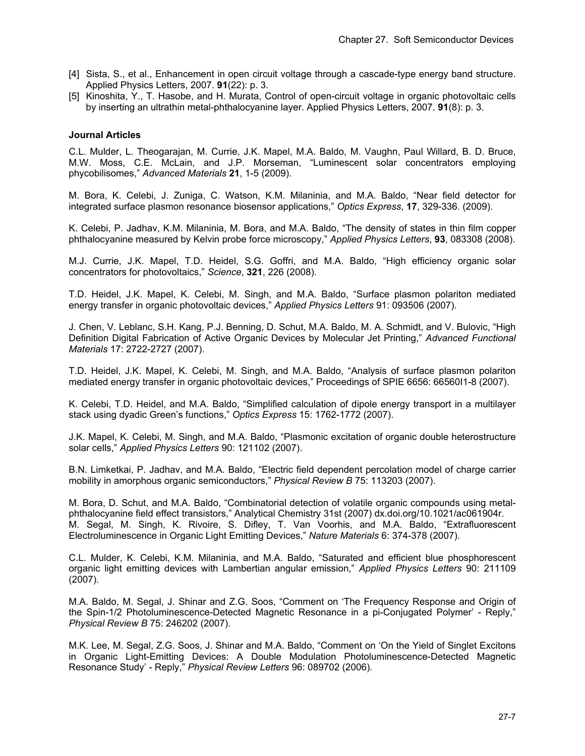- [4] Sista, S., et al., Enhancement in open circuit voltage through a cascade-type energy band structure. Applied Physics Letters, 2007. **91**(22): p. 3.
- [5] Kinoshita, Y., T. Hasobe, and H. Murata, Control of open-circuit voltage in organic photovoltaic cells by inserting an ultrathin metal-phthalocyanine layer. Applied Physics Letters, 2007. **91**(8): p. 3.

## **Journal Articles**

C.L. Mulder, L. Theogarajan, M. Currie, J.K. Mapel, M.A. Baldo, M. Vaughn, Paul Willard, B. D. Bruce, M.W. Moss, C.E. McLain, and J.P. Morseman, "Luminescent solar concentrators employing phycobilisomes," *Advanced Materials* **21**, 1-5 (2009).

M. Bora, K. Celebi, J. Zuniga, C. Watson, K.M. Milaninia, and M.A. Baldo, "Near field detector for integrated surface plasmon resonance biosensor applications," *Optics Express*, **17**, 329-336. (2009).

K. Celebi, P. Jadhav, K.M. Milaninia, M. Bora, and M.A. Baldo, "The density of states in thin film copper phthalocyanine measured by Kelvin probe force microscopy," *Applied Physics Letters*, **93**, 083308 (2008).

M.J. Currie, J.K. Mapel, T.D. Heidel, S.G. Goffri, and M.A. Baldo, "High efficiency organic solar concentrators for photovoltaics," *Science*, **321**, 226 (2008).

T.D. Heidel, J.K. Mapel, K. Celebi, M. Singh, and M.A. Baldo, "Surface plasmon polariton mediated energy transfer in organic photovoltaic devices," *Applied Physics Letters* 91: 093506 (2007).

J. Chen, V. Leblanc, S.H. Kang, P.J. Benning, D. Schut, M.A. Baldo, M. A. Schmidt, and V. Bulovic, "High Definition Digital Fabrication of Active Organic Devices by Molecular Jet Printing," *Advanced Functional Materials* 17: 2722-2727 (2007).

T.D. Heidel, J.K. Mapel, K. Celebi, M. Singh, and M.A. Baldo, "Analysis of surface plasmon polariton mediated energy transfer in organic photovoltaic devices," Proceedings of SPIE 6656: 66560I1-8 (2007).

K. Celebi, T.D. Heidel, and M.A. Baldo, "Simplified calculation of dipole energy transport in a multilayer stack using dyadic Green's functions," *Optics Express* 15: 1762-1772 (2007).

J.K. Mapel, K. Celebi, M. Singh, and M.A. Baldo, "Plasmonic excitation of organic double heterostructure solar cells," *Applied Physics Letters* 90: 121102 (2007).

B.N. Limketkai, P. Jadhav, and M.A. Baldo, "Electric field dependent percolation model of charge carrier mobility in amorphous organic semiconductors," *Physical Review B* 75: 113203 (2007).

M. Bora, D. Schut, and M.A. Baldo, "Combinatorial detection of volatile organic compounds using metalphthalocyanine field effect transistors," Analytical Chemistry 31st (2007) dx.doi.org/10.1021/ac061904r. M. Segal, M. Singh, K. Rivoire, S. Difley, T. Van Voorhis, and M.A. Baldo, "Extrafluorescent Electroluminescence in Organic Light Emitting Devices," *Nature Materials* 6: 374-378 (2007).

C.L. Mulder, K. Celebi, K.M. Milaninia, and M.A. Baldo, "Saturated and efficient blue phosphorescent organic light emitting devices with Lambertian angular emission," *Applied Physics Letters* 90: 211109 (2007).

M.A. Baldo, M. Segal, J. Shinar and Z.G. Soos, "Comment on 'The Frequency Response and Origin of the Spin-1/2 Photoluminescence-Detected Magnetic Resonance in a pi-Conjugated Polymer' - Reply," *Physical Review B* 75: 246202 (2007).

M.K. Lee, M. Segal, Z.G. Soos, J. Shinar and M.A. Baldo, "Comment on 'On the Yield of Singlet Excitons in Organic Light-Emitting Devices: A Double Modulation Photoluminescence-Detected Magnetic Resonance Study' - Reply," *Physical Review Letters* 96: 089702 (2006).